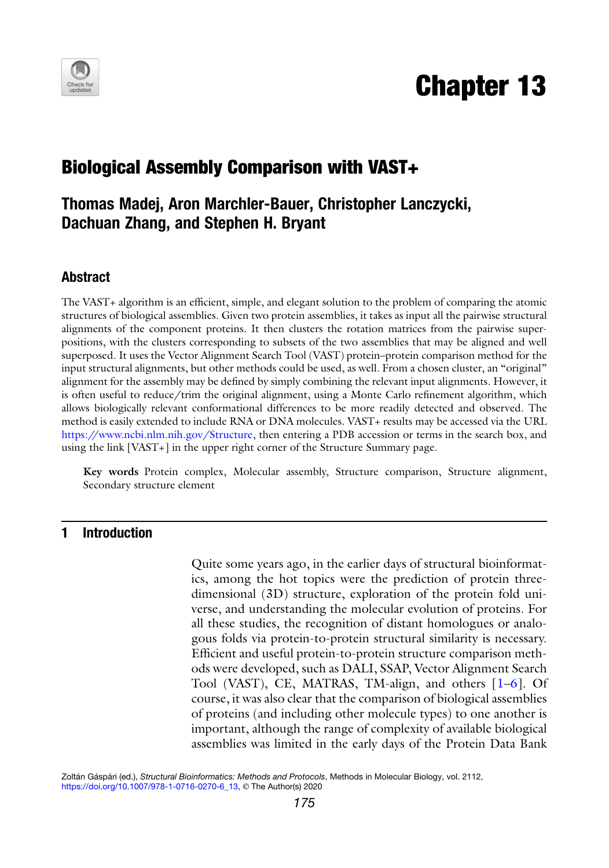

# Chapter 13

## Biological Assembly Comparison with VAST+

### Thomas Madej, Aron Marchler-Bauer, Christopher Lanczycki, Dachuan Zhang, and Stephen H. Bryant

#### Abstract

The VAST+ algorithm is an efficient, simple, and elegant solution to the problem of comparing the atomic structures of biological assemblies. Given two protein assemblies, it takes as input all the pairwise structural alignments of the component proteins. It then clusters the rotation matrices from the pairwise superpositions, with the clusters corresponding to subsets of the two assemblies that may be aligned and well superposed. It uses the Vector Alignment Search Tool (VAST) protein–protein comparison method for the input structural alignments, but other methods could be used, as well. From a chosen cluster, an "original" alignment for the assembly may be defined by simply combining the relevant input alignments. However, it is often useful to reduce/trim the original alignment, using a Monte Carlo refinement algorithm, which allows biologically relevant conformational differences to be more readily detected and observed. The method is easily extended to include RNA or DNA molecules. VAST+ results may be accessed via the URL [https://www.ncbi.nlm.nih.gov/Structure,](https://www.ncbi.nlm.nih.gov/Structure) then entering a PDB accession or terms in the search box, and using the link [VAST+] in the upper right corner of the Structure Summary page.

Key words Protein complex, Molecular assembly, Structure comparison, Structure alignment, Secondary structure element

#### 1 Introduction

Quite some years ago, in the earlier days of structural bioinformatics, among the hot topics were the prediction of protein threedimensional (3D) structure, exploration of the protein fold universe, and understanding the molecular evolution of proteins. For all these studies, the recognition of distant homologues or analogous folds via protein-to-protein structural similarity is necessary. Efficient and useful protein-to-protein structure comparison methods were developed, such as DALI, SSAP, Vector Alignment Search Tool (VAST), CE, MATRAS, TM-align, and others [\[1](#page-10-0)[–6](#page-10-1)]. Of course, it was also clear that the comparison of biological assemblies of proteins (and including other molecule types) to one another is important, although the range of complexity of available biological assemblies was limited in the early days of the Protein Data Bank

Zoltán Gáspári (ed.), Structural Bioinformatics: Methods and Protocols, Methods in Molecular Biology, vol. 2112, [https://doi.org/10.1007/978-1-0716-0270-6\\_13](https://doi.org/10.1007/978-1-0716-0270-6_13), © The Author(s) 2020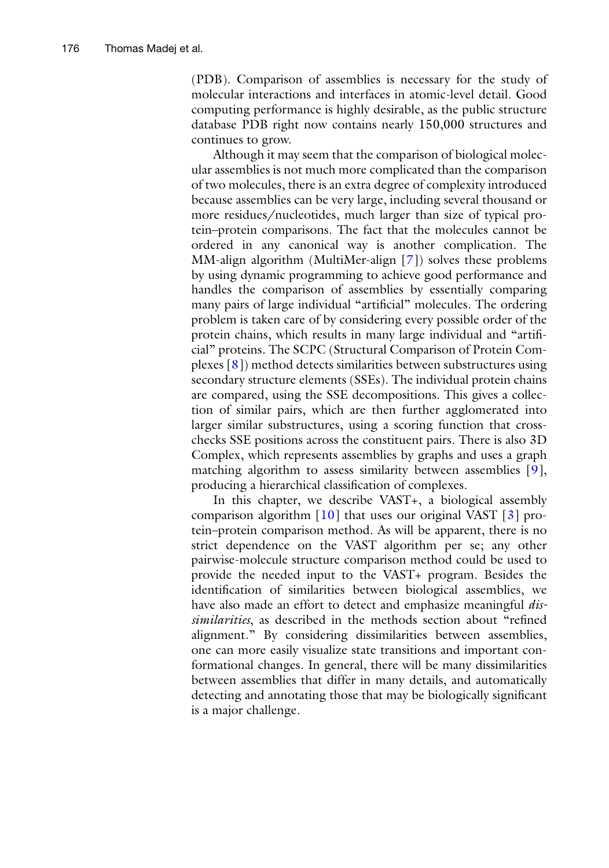(PDB). Comparison of assemblies is necessary for the study of molecular interactions and interfaces in atomic-level detail. Good computing performance is highly desirable, as the public structure database PDB right now contains nearly 150,000 structures and continues to grow.

Although it may seem that the comparison of biological molecular assemblies is not much more complicated than the comparison of two molecules, there is an extra degree of complexity introduced because assemblies can be very large, including several thousand or more residues/nucleotides, much larger than size of typical protein–protein comparisons. The fact that the molecules cannot be ordered in any canonical way is another complication. The MM-align algorithm (MultiMer-align [\[7\]](#page-10-2)) solves these problems by using dynamic programming to achieve good performance and handles the comparison of assemblies by essentially comparing many pairs of large individual "artificial" molecules. The ordering problem is taken care of by considering every possible order of the protein chains, which results in many large individual and "artificial" proteins. The SCPC (Structural Comparison of Protein Complexes [\[8\]](#page-10-3)) method detects similarities between substructures using secondary structure elements (SSEs). The individual protein chains are compared, using the SSE decompositions. This gives a collection of similar pairs, which are then further agglomerated into larger similar substructures, using a scoring function that crosschecks SSE positions across the constituent pairs. There is also 3D Complex, which represents assemblies by graphs and uses a graph matching algorithm to assess similarity between assemblies [[9](#page-10-4)], producing a hierarchical classification of complexes.

In this chapter, we describe VAST+, a biological assembly comparison algorithm  $[10]$  $[10]$  that uses our original VAST  $[3]$  $[3]$  $[3]$  protein–protein comparison method. As will be apparent, there is no strict dependence on the VAST algorithm per se; any other pairwise-molecule structure comparison method could be used to provide the needed input to the VAST+ program. Besides the identification of similarities between biological assemblies, we have also made an effort to detect and emphasize meaningful *dis*similarities, as described in the methods section about "refined alignment." By considering dissimilarities between assemblies, one can more easily visualize state transitions and important conformational changes. In general, there will be many dissimilarities between assemblies that differ in many details, and automatically detecting and annotating those that may be biologically significant is a major challenge.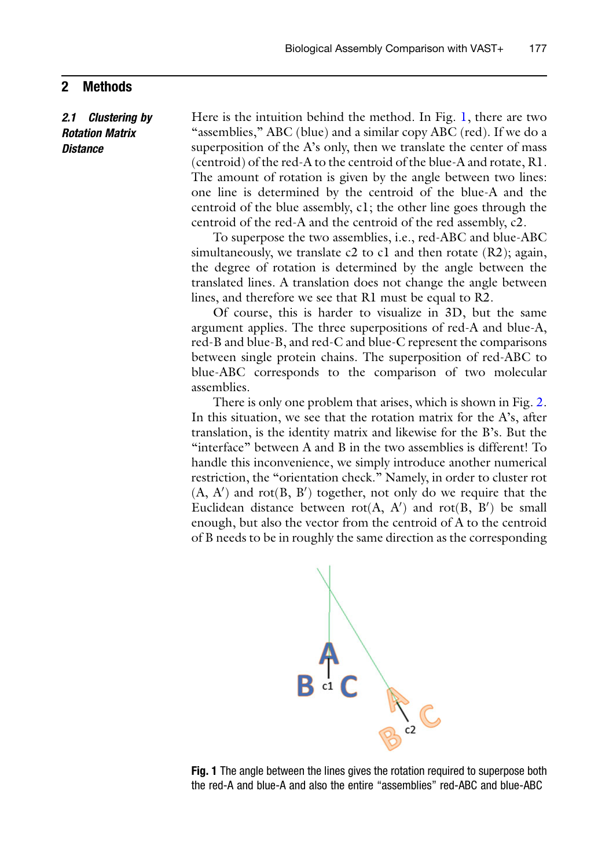#### 2 Methods

2.1 Clustering by Rotation Matrix **Distance** 

Here is the intuition behind the method. In Fig. [1](#page-2-0), there are two "assemblies," ABC (blue) and a similar copy ABC (red). If we do a superposition of the A's only, then we translate the center of mass (centroid) of the red-A to the centroid of the blue-A and rotate, R1. The amount of rotation is given by the angle between two lines: one line is determined by the centroid of the blue-A and the centroid of the blue assembly, c1; the other line goes through the centroid of the red-A and the centroid of the red assembly, c2.

To superpose the two assemblies, i.e., red-ABC and blue-ABC simultaneously, we translate  $c2$  to  $c1$  and then rotate (R2); again, the degree of rotation is determined by the angle between the translated lines. A translation does not change the angle between lines, and therefore we see that R1 must be equal to R2.

Of course, this is harder to visualize in 3D, but the same argument applies. The three superpositions of red-A and blue-A, red-B and blue-B, and red-C and blue-C represent the comparisons between single protein chains. The superposition of red-ABC to blue-ABC corresponds to the comparison of two molecular assemblies.

<span id="page-2-0"></span>There is only one problem that arises, which is shown in Fig. [2.](#page-3-0) In this situation, we see that the rotation matrix for the A's, after translation, is the identity matrix and likewise for the B's. But the "interface" between A and B in the two assemblies is different! To handle this inconvenience, we simply introduce another numerical restriction, the "orientation check." Namely, in order to cluster rot  $(A, A')$  and rot $(B, B')$  together, not only do we require that the Euclidean distance between  $rot(A, A')$  and  $rot(B, B')$  be small enough, but also the vector from the centroid of A to the centroid of B needs to be in roughly the same direction as the corresponding



Fig. 1 The angle between the lines gives the rotation required to superpose both the red-A and blue-A and also the entire "assemblies" red-ABC and blue-ABC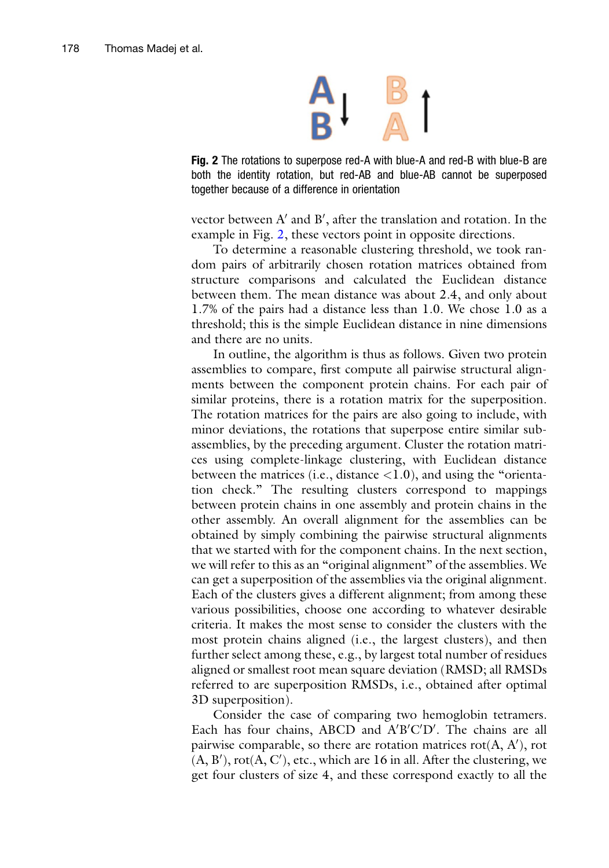

<span id="page-3-0"></span>Fig. 2 The rotations to superpose red-A with blue-A and red-B with blue-B are both the identity rotation, but red-AB and blue-AB cannot be superposed together because of a difference in orientation

vector between  $\mathrm{A}^\prime$  and  $\mathrm{B}^\prime,$  after the translation and rotation. In the example in Fig. [2,](#page-3-0) these vectors point in opposite directions.

To determine a reasonable clustering threshold, we took random pairs of arbitrarily chosen rotation matrices obtained from structure comparisons and calculated the Euclidean distance between them. The mean distance was about 2.4, and only about 1.7% of the pairs had a distance less than 1.0. We chose 1.0 as a threshold; this is the simple Euclidean distance in nine dimensions and there are no units.

In outline, the algorithm is thus as follows. Given two protein assemblies to compare, first compute all pairwise structural alignments between the component protein chains. For each pair of similar proteins, there is a rotation matrix for the superposition. The rotation matrices for the pairs are also going to include, with minor deviations, the rotations that superpose entire similar subassemblies, by the preceding argument. Cluster the rotation matrices using complete-linkage clustering, with Euclidean distance between the matrices (i.e., distance  $\langle 1.0 \rangle$ , and using the "orientation check." The resulting clusters correspond to mappings between protein chains in one assembly and protein chains in the other assembly. An overall alignment for the assemblies can be obtained by simply combining the pairwise structural alignments that we started with for the component chains. In the next section, we will refer to this as an "original alignment" of the assemblies. We can get a superposition of the assemblies via the original alignment. Each of the clusters gives a different alignment; from among these various possibilities, choose one according to whatever desirable criteria. It makes the most sense to consider the clusters with the most protein chains aligned (i.e., the largest clusters), and then further select among these, e.g., by largest total number of residues aligned or smallest root mean square deviation (RMSD; all RMSDs referred to are superposition RMSDs, i.e., obtained after optimal 3D superposition).

Consider the case of comparing two hemoglobin tetramers. Each has four chains, ABCD and  $A'B'C'D'$ . The chains are all pairwise comparable, so there are rotation matrices  $rot(A, A'), rot$  $(A, B'), rot(A, C'), etc., which are 16 in all. After the clustering, we$ get four clusters of size 4, and these correspond exactly to all the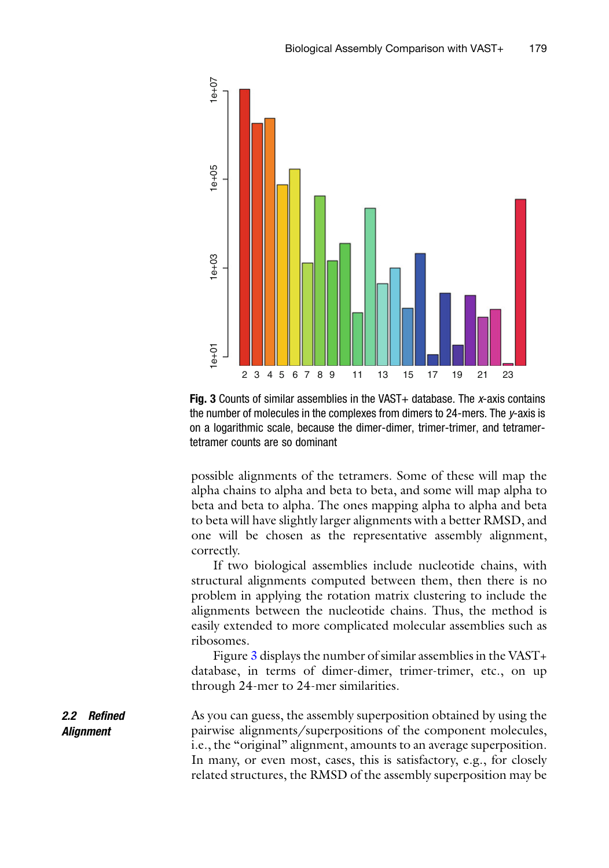<span id="page-4-0"></span>

Fig. 3 Counts of similar assemblies in the VAST+ database. The x-axis contains the number of molecules in the complexes from dimers to 24-mers. The y-axis is on a logarithmic scale, because the dimer-dimer, trimer-trimer, and tetramertetramer counts are so dominant

possible alignments of the tetramers. Some of these will map the alpha chains to alpha and beta to beta, and some will map alpha to beta and beta to alpha. The ones mapping alpha to alpha and beta to beta will have slightly larger alignments with a better RMSD, and one will be chosen as the representative assembly alignment, correctly.

If two biological assemblies include nucleotide chains, with structural alignments computed between them, then there is no problem in applying the rotation matrix clustering to include the alignments between the nucleotide chains. Thus, the method is easily extended to more complicated molecular assemblies such as ribosomes.

Figure [3](#page-4-0) displays the number of similar assemblies in the VAST+ database, in terms of dimer-dimer, trimer-trimer, etc., on up through 24-mer to 24-mer similarities.

2.2 Refined Alignment As you can guess, the assembly superposition obtained by using the pairwise alignments/superpositions of the component molecules, i.e., the "original" alignment, amounts to an average superposition. In many, or even most, cases, this is satisfactory, e.g., for closely related structures, the RMSD of the assembly superposition may be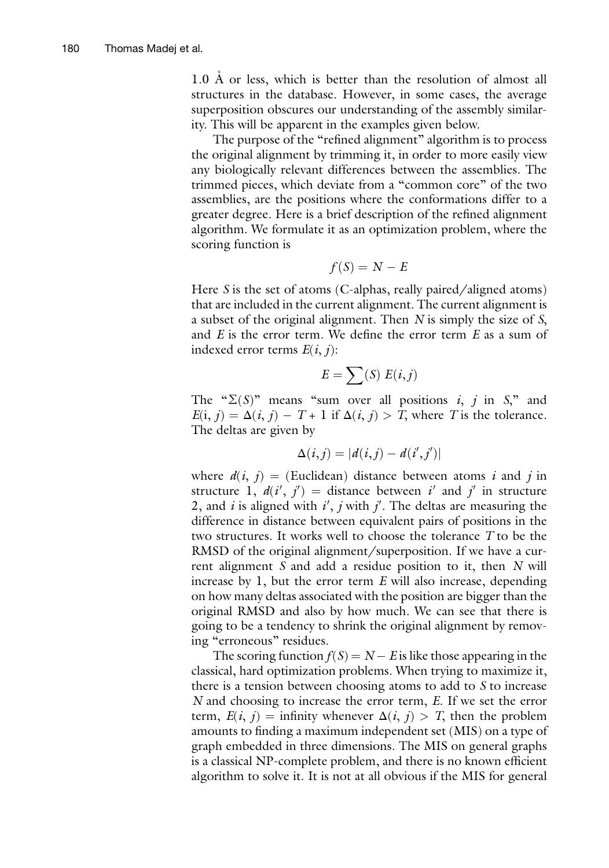$1.0$  Å or less, which is better than the resolution of almost all structures in the database. However, in some cases, the average superposition obscures our understanding of the assembly similarity. This will be apparent in the examples given below.

The purpose of the "refined alignment" algorithm is to process the original alignment by trimming it, in order to more easily view any biologically relevant differences between the assemblies. The trimmed pieces, which deviate from a "common core" of the two assemblies, are the positions where the conformations differ to a greater degree. Here is a brief description of the refined alignment algorithm. We formulate it as an optimization problem, where the scoring function is

$$
f(S) = N - E
$$

Here S is the set of atoms (C-alphas, really paired/aligned atoms) that are included in the current alignment. The current alignment is a subset of the original alignment. Then N is simply the size of S, and  $E$  is the error term. We define the error term  $E$  as a sum of indexed error terms  $E(i, j)$ :

$$
E = \sum(S) E(i,j)
$$

The " $\Sigma(S)$ " means "sum over all positions *i*, *j* in *S*," and  $E(i, j) = \Delta(i, j) - T + 1$  if  $\Delta(i, j) > T$ , where T is the tolerance. The deltas are given by

$$
\Delta(i,j)=|d(i,j)-d(i',j')|
$$

where  $d(i, j) =$  (Euclidean) distance between atoms i and j in structure 1,  $d(i', j') =$  distance between i' and j' in structure 2, and i is aligned with  $i'$ , j with j'. The deltas are measuring the difference in distance between equivalent pairs of positions in the two structures. It works well to choose the tolerance T to be the RMSD of the original alignment/superposition. If we have a current alignment  $S$  and add a residue position to it, then  $N$  will increase by 1, but the error term E will also increase, depending on how many deltas associated with the position are bigger than the original RMSD and also by how much. We can see that there is going to be a tendency to shrink the original alignment by removing "erroneous" residues.

The scoring function  $f(S) = N - E$  is like those appearing in the classical, hard optimization problems. When trying to maximize it, there is a tension between choosing atoms to add to S to increase N and choosing to increase the error term, E. If we set the error term,  $E(i, j)$  = infinity whenever  $\Delta(i, j) > T$ , then the problem amounts to finding a maximum independent set (MIS) on a type of graph embedded in three dimensions. The MIS on general graphs is a classical NP-complete problem, and there is no known efficient algorithm to solve it. It is not at all obvious if the MIS for general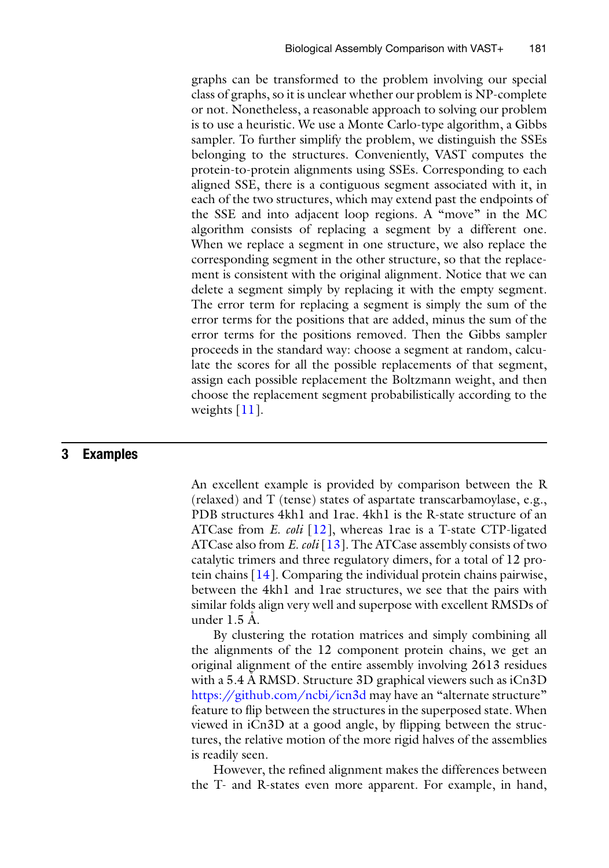graphs can be transformed to the problem involving our special class of graphs, so it is unclear whether our problem is NP-complete or not. Nonetheless, a reasonable approach to solving our problem is to use a heuristic. We use a Monte Carlo-type algorithm, a Gibbs sampler. To further simplify the problem, we distinguish the SSEs belonging to the structures. Conveniently, VAST computes the protein-to-protein alignments using SSEs. Corresponding to each aligned SSE, there is a contiguous segment associated with it, in each of the two structures, which may extend past the endpoints of the SSE and into adjacent loop regions. A "move" in the MC algorithm consists of replacing a segment by a different one. When we replace a segment in one structure, we also replace the corresponding segment in the other structure, so that the replacement is consistent with the original alignment. Notice that we can delete a segment simply by replacing it with the empty segment. The error term for replacing a segment is simply the sum of the error terms for the positions that are added, minus the sum of the error terms for the positions removed. Then the Gibbs sampler proceeds in the standard way: choose a segment at random, calculate the scores for all the possible replacements of that segment, assign each possible replacement the Boltzmann weight, and then choose the replacement segment probabilistically according to the weights [[11\]](#page-10-7).

#### 3 Examples

An excellent example is provided by comparison between the R (relaxed) and T (tense) states of aspartate transcarbamoylase, e.g., PDB structures 4kh1 and 1rae. 4kh1 is the R-state structure of an ATCase from *E. coli*  $[12]$  $[12]$ , whereas 1 rae is a T-state CTP-ligated ATCase also from E.  $\omega li$  [\[13](#page-11-0)]. The ATCase assembly consists of two catalytic trimers and three regulatory dimers, for a total of 12 protein chains [\[14](#page-11-1)]. Comparing the individual protein chains pairwise, between the 4kh1 and 1rae structures, we see that the pairs with similar folds align very well and superpose with excellent RMSDs of under  $1.5$   $\AA$ .

By clustering the rotation matrices and simply combining all the alignments of the 12 component protein chains, we get an original alignment of the entire assembly involving 2613 residues with a 5.4 A RMSD. Structure 3D graphical viewers such as iCn3D <https://github.com/ncbi/icn3d> may have an "alternate structure" feature to flip between the structures in the superposed state. When viewed in iCn3D at a good angle, by flipping between the structures, the relative motion of the more rigid halves of the assemblies is readily seen.

However, the refined alignment makes the differences between the T- and R-states even more apparent. For example, in hand,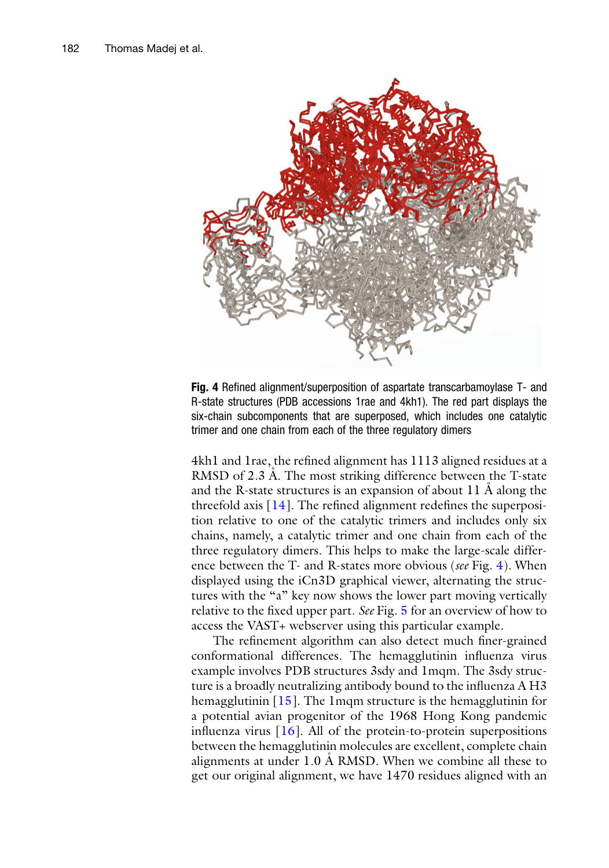<span id="page-7-0"></span>

Fig. 4 Refined alignment/superposition of aspartate transcarbamoylase T- and R-state structures (PDB accessions 1rae and 4kh1). The red part displays the six-chain subcomponents that are superposed, which includes one catalytic trimer and one chain from each of the three regulatory dimers

4kh1 and 1rae, the refined alignment has 1113 aligned residues at a RMSD of 2.3 A. The most striking difference between the T-state and the R-state structures is an expansion of about  $11 \text{ Å}$  along the threefold axis  $[14]$ . The refined alignment redefines the superposition relative to one of the catalytic trimers and includes only six chains, namely, a catalytic trimer and one chain from each of the three regulatory dimers. This helps to make the large-scale differ-ence between the T- and R-states more obvious (see Fig. [4](#page-7-0)). When displayed using the iCn3D graphical viewer, alternating the structures with the "a" key now shows the lower part moving vertically relative to the fixed upper part. See Fig. [5](#page-8-0) for an overview of how to access the VAST+ webserver using this particular example.

The refinement algorithm can also detect much finer-grained conformational differences. The hemagglutinin influenza virus example involves PDB structures 3sdy and 1mqm. The 3sdy structure is a broadly neutralizing antibody bound to the influenza A H3 hemagglutinin [\[15](#page-11-2)]. The 1mqm structure is the hemagglutinin for a potential avian progenitor of the 1968 Hong Kong pandemic influenza virus  $[16]$  $[16]$  $[16]$ . All of the protein-to-protein superpositions between the hemagglutinin molecules are excellent, complete chain alignments at under 1.0 A RMSD. When we combine all these to get our original alignment, we have 1470 residues aligned with an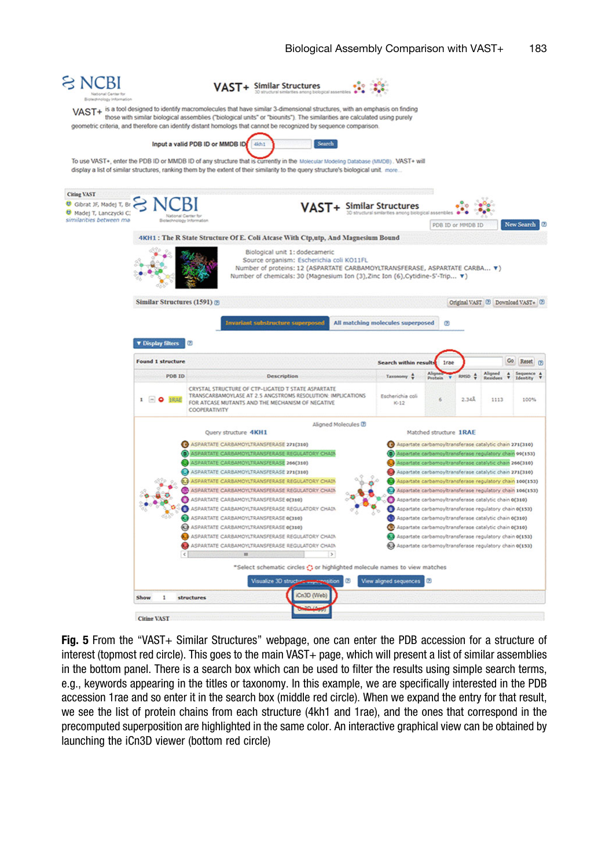<span id="page-8-0"></span>

Fig. 5 From the "VAST+ Similar Structures" webpage, one can enter the PDB accession for a structure of interest (topmost red circle). This goes to the main VAST+ page, which will present a list of similar assemblies in the bottom panel. There is a search box which can be used to filter the results using simple search terms, e.g., keywords appearing in the titles or taxonomy. In this example, we are specifically interested in the PDB accession 1rae and so enter it in the search box (middle red circle). When we expand the entry for that result, we see the list of protein chains from each structure (4kh1 and 1rae), and the ones that correspond in the precomputed superposition are highlighted in the same color. An interactive graphical view can be obtained by launching the iCn3D viewer (bottom red circle)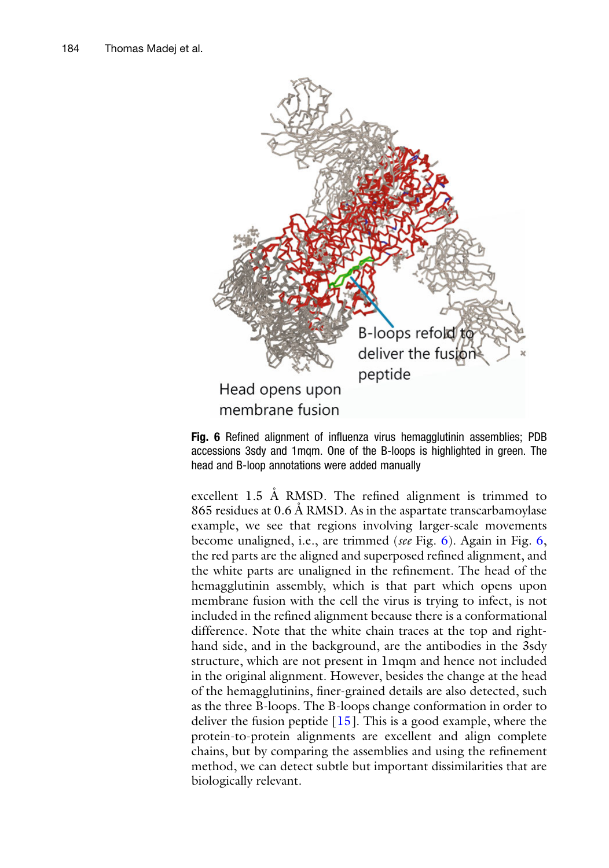<span id="page-9-0"></span>

Fig. 6 Refined alignment of influenza virus hemagglutinin assemblies; PDB accessions 3sdy and 1mqm. One of the B-loops is highlighted in green. The head and B-loop annotations were added manually

excellent 1.5 A RMSD. The refined alignment is trimmed to 865 residues at 0.6 Å RMSD. As in the aspartate transcarbamoylase example, we see that regions involving larger-scale movements become unaligned, i.e., are trimmed (see Fig. [6\)](#page-9-0). Again in Fig. [6,](#page-9-0) the red parts are the aligned and superposed refined alignment, and the white parts are unaligned in the refinement. The head of the hemagglutinin assembly, which is that part which opens upon membrane fusion with the cell the virus is trying to infect, is not included in the refined alignment because there is a conformational difference. Note that the white chain traces at the top and righthand side, and in the background, are the antibodies in the 3sdy structure, which are not present in 1mqm and hence not included in the original alignment. However, besides the change at the head of the hemagglutinins, finer-grained details are also detected, such as the three B-loops. The B-loops change conformation in order to deliver the fusion peptide  $[15]$  $[15]$ . This is a good example, where the protein-to-protein alignments are excellent and align complete chains, but by comparing the assemblies and using the refinement method, we can detect subtle but important dissimilarities that are biologically relevant.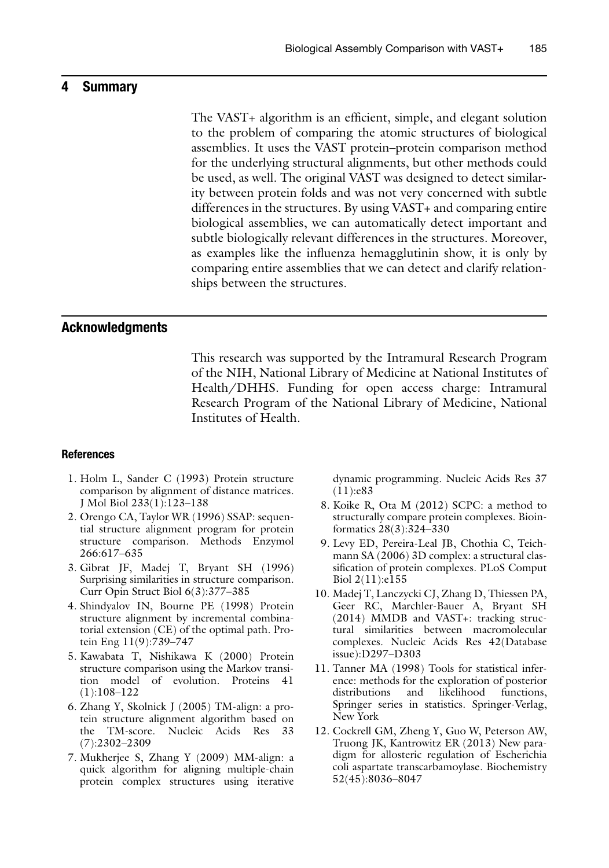#### 4 Summary

The VAST+ algorithm is an efficient, simple, and elegant solution to the problem of comparing the atomic structures of biological assemblies. It uses the VAST protein–protein comparison method for the underlying structural alignments, but other methods could be used, as well. The original VAST was designed to detect similarity between protein folds and was not very concerned with subtle differences in the structures. By using VAST+ and comparing entire biological assemblies, we can automatically detect important and subtle biologically relevant differences in the structures. Moreover, as examples like the influenza hemagglutinin show, it is only by comparing entire assemblies that we can detect and clarify relationships between the structures.

#### Acknowledgments

This research was supported by the Intramural Research Program of the NIH, National Library of Medicine at National Institutes of Health/DHHS. Funding for open access charge: Intramural Research Program of the National Library of Medicine, National Institutes of Health.

#### <span id="page-10-0"></span>References

- 1. Holm L, Sander C (1993) Protein structure comparison by alignment of distance matrices. J Mol Biol 233(1):123–138
- <span id="page-10-4"></span><span id="page-10-3"></span>2. Orengo CA, Taylor WR (1996) SSAP: sequential structure alignment program for protein structure comparison. Methods Enzymol 266:617–635
- <span id="page-10-6"></span>3. Gibrat JF, Madej T, Bryant SH (1996) Surprising similarities in structure comparison. Curr Opin Struct Biol 6(3):377–385
- <span id="page-10-5"></span>4. Shindyalov IN, Bourne PE (1998) Protein structure alignment by incremental combinatorial extension (CE) of the optimal path. Protein Eng 11(9):739–747
- <span id="page-10-7"></span>5. Kawabata T, Nishikawa K (2000) Protein structure comparison using the Markov transition model of evolution. Proteins 41 (1):108–122
- <span id="page-10-8"></span><span id="page-10-1"></span>6. Zhang Y, Skolnick J (2005) TM-align: a protein structure alignment algorithm based on the TM-score. Nucleic Acids Res 33 (7):2302–2309
- <span id="page-10-2"></span>7. Mukherjee S, Zhang Y (2009) MM-align: a quick algorithm for aligning multiple-chain protein complex structures using iterative

dynamic programming. Nucleic Acids Res 37 (11):e83

- 8. Koike R, Ota M (2012) SCPC: a method to structurally compare protein complexes. Bioinformatics 28(3):324–330
- 9. Levy ED, Pereira-Leal JB, Chothia C, Teichmann SA (2006) 3D complex: a structural classification of protein complexes. PLoS Comput Biol 2(11):e155
- 10. Madej T, Lanczycki CJ, Zhang D, Thiessen PA, Geer RC, Marchler-Bauer A, Bryant SH (2014) MMDB and VAST+: tracking structural similarities between macromolecular complexes. Nucleic Acids Res 42(Database issue):D297–D303
- 11. Tanner MA (1998) Tools for statistical inference: methods for the exploration of posterior distributions and likelihood functions, Springer series in statistics. Springer-Verlag, New York
- 12. Cockrell GM, Zheng Y, Guo W, Peterson AW, Truong JK, Kantrowitz ER (2013) New paradigm for allosteric regulation of Escherichia coli aspartate transcarbamoylase. Biochemistry 52(45):8036–8047